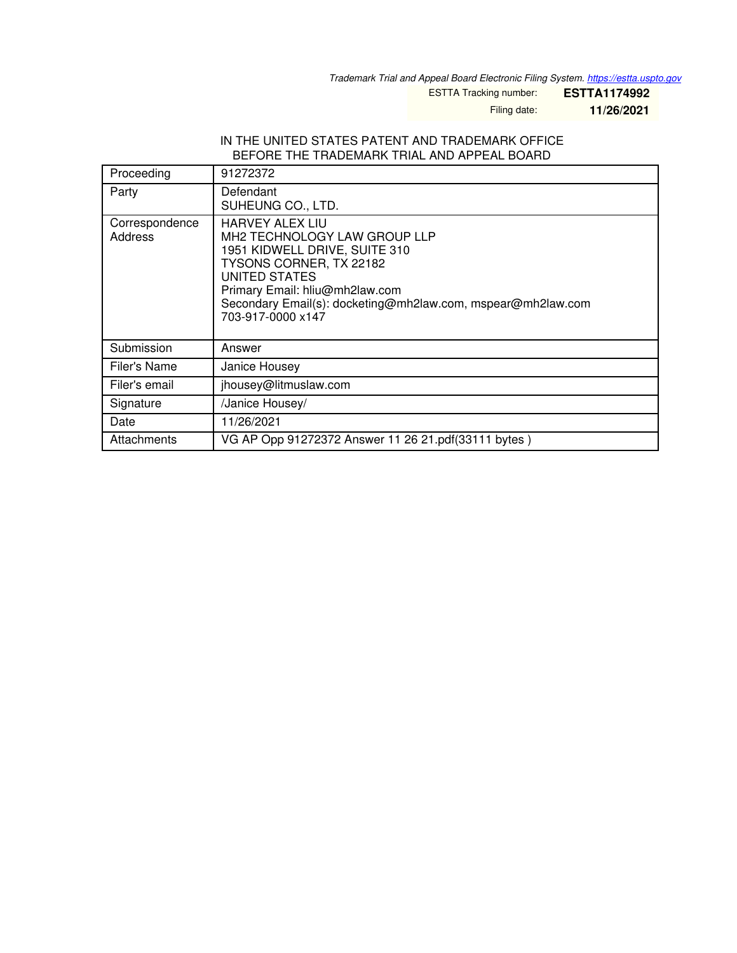*Trademark Trial and Appeal Board Electronic Filing System. <https://estta.uspto.gov>*

ESTTA Tracking number: **ESTTA1174992**

Filing date: **11/26/2021**

#### IN THE UNITED STATES PATENT AND TRADEMARK OFFICE BEFORE THE TRADEMARK TRIAL AND APPEAL BOARD

| Proceeding                | 91272372                                                                                                                                                                                                                                                  |
|---------------------------|-----------------------------------------------------------------------------------------------------------------------------------------------------------------------------------------------------------------------------------------------------------|
| Party                     | Defendant<br>SUHEUNG CO., LTD.                                                                                                                                                                                                                            |
| Correspondence<br>Address | <b>HARVEY ALEX LIU</b><br>MH2 TECHNOLOGY LAW GROUP LLP<br>1951 KIDWELL DRIVE, SUITE 310<br>TYSONS CORNER, TX 22182<br>UNITED STATES<br>Primary Email: hliu@mh2law.com<br>Secondary Email(s): docketing@mh2law.com, mspear@mh2law.com<br>703-917-0000 x147 |
| Submission                | Answer                                                                                                                                                                                                                                                    |
| Filer's Name              | Janice Housey                                                                                                                                                                                                                                             |
| Filer's email             | jhousey@litmuslaw.com                                                                                                                                                                                                                                     |
| Signature                 | /Janice Housey/                                                                                                                                                                                                                                           |
| Date                      | 11/26/2021                                                                                                                                                                                                                                                |
| Attachments               | VG AP Opp 91272372 Answer 11 26 21.pdf(33111 bytes)                                                                                                                                                                                                       |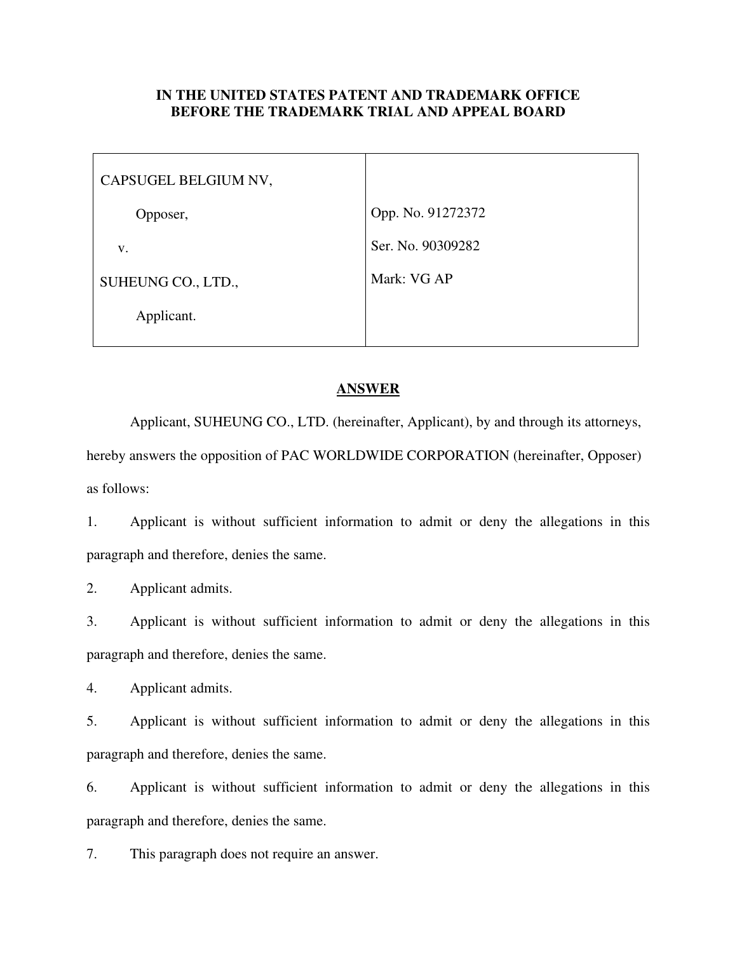### **IN THE UNITED STATES PATENT AND TRADEMARK OFFICE BEFORE THE TRADEMARK TRIAL AND APPEAL BOARD**

| CAPSUGEL BELGIUM NV, |                   |
|----------------------|-------------------|
| Opposer,             | Opp. No. 91272372 |
| V.                   | Ser. No. 90309282 |
| SUHEUNG CO., LTD.,   | Mark: VG AP       |
| Applicant.           |                   |

### **ANSWER**

Applicant, SUHEUNG CO., LTD. (hereinafter, Applicant), by and through its attorneys, hereby answers the opposition of PAC WORLDWIDE CORPORATION (hereinafter, Opposer) as follows:

1. Applicant is without sufficient information to admit or deny the allegations in this paragraph and therefore, denies the same.

2. Applicant admits.

3. Applicant is without sufficient information to admit or deny the allegations in this paragraph and therefore, denies the same.

4. Applicant admits.

5. Applicant is without sufficient information to admit or deny the allegations in this paragraph and therefore, denies the same.

6. Applicant is without sufficient information to admit or deny the allegations in this paragraph and therefore, denies the same.

7. This paragraph does not require an answer.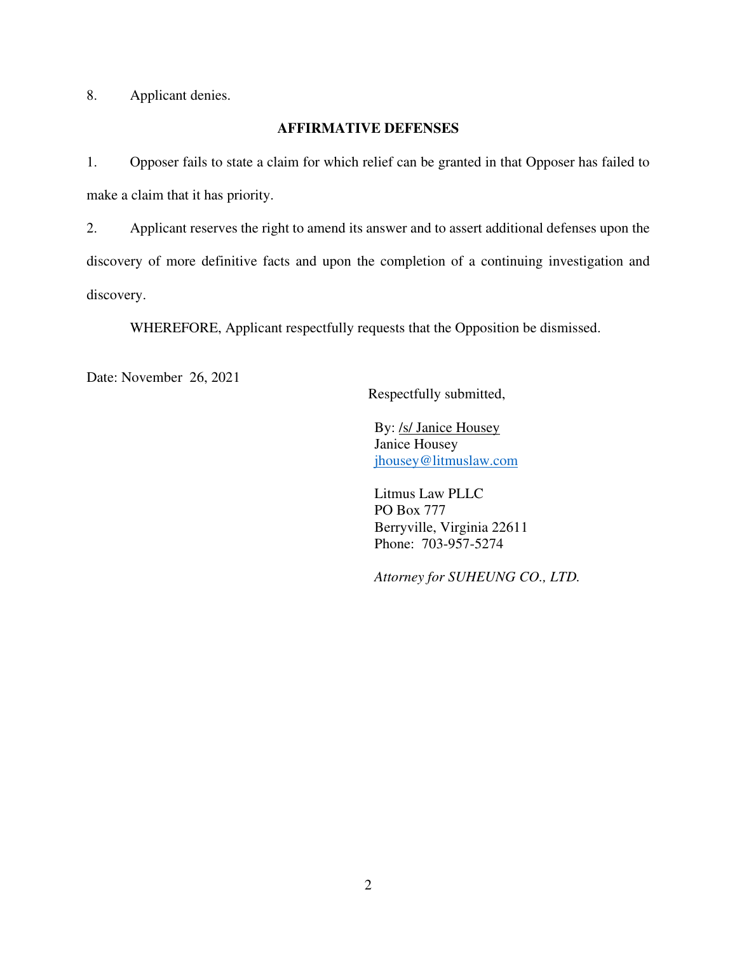8. Applicant denies.

# **AFFIRMATIVE DEFENSES**

1. Opposer fails to state a claim for which relief can be granted in that Opposer has failed to make a claim that it has priority.

2. Applicant reserves the right to amend its answer and to assert additional defenses upon the discovery of more definitive facts and upon the completion of a continuing investigation and discovery.

WHEREFORE, Applicant respectfully requests that the Opposition be dismissed.

Date: November 26, 2021

Respectfully submitted,

By: /s/ Janice Housey Janice Housey jhousey@litmuslaw.com

Litmus Law PLLC PO Box 777 Berryville, Virginia 22611 Phone: 703-957-5274

*Attorney for SUHEUNG CO., LTD.*